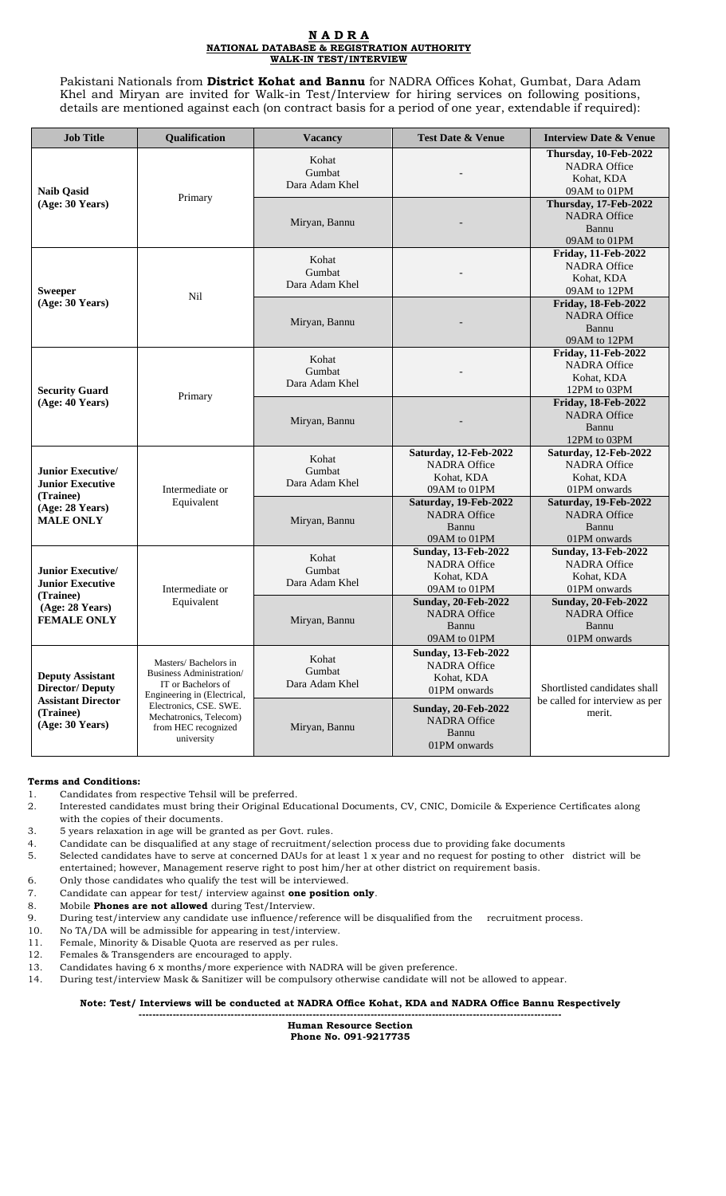## **N A D R A NATIONAL DATABASE & REGISTRATION AUTHORITY WALK-IN TEST/INTERVIEW**

Pakistani Nationals from **District Kohat and Bannu** for NADRA Offices Kohat, Gumbat, Dara Adam Khel and Miryan are invited for Walk-in Test/Interview for hiring services on following positions, details are mentioned against each (on contract basis for a period of one year, extendable if required):

| <b>Job Title</b>                                                                                               | Qualification                                                                                                                                                                                   | <b>Vacancy</b>                    | <b>Test Date &amp; Venue</b>                                                    | <b>Interview Date &amp; Venue</b>                                               |
|----------------------------------------------------------------------------------------------------------------|-------------------------------------------------------------------------------------------------------------------------------------------------------------------------------------------------|-----------------------------------|---------------------------------------------------------------------------------|---------------------------------------------------------------------------------|
| <b>Naib Qasid</b><br>(Age: 30 Years)                                                                           | Primary                                                                                                                                                                                         | Kohat<br>Gumbat<br>Dara Adam Khel |                                                                                 | Thursday, 10-Feb-2022<br><b>NADRA Office</b><br>Kohat, KDA<br>09AM to 01PM      |
|                                                                                                                |                                                                                                                                                                                                 | Miryan, Bannu                     |                                                                                 | Thursday, 17-Feb-2022<br><b>NADRA Office</b><br>Bannu<br>09AM to 01PM           |
| <b>Sweeper</b><br>(Age: 30 Years)                                                                              | Nil                                                                                                                                                                                             | Kohat<br>Gumbat<br>Dara Adam Khel |                                                                                 | Friday, 11-Feb-2022<br><b>NADRA Office</b><br>Kohat, KDA<br>09AM to 12PM        |
|                                                                                                                |                                                                                                                                                                                                 | Miryan, Bannu                     |                                                                                 | <b>Friday, 18-Feb-2022</b><br><b>NADRA Office</b><br>Bannu<br>09AM to 12PM      |
| <b>Security Guard</b><br>(Age: 40 Years)                                                                       | Primary                                                                                                                                                                                         | Kohat<br>Gumbat<br>Dara Adam Khel |                                                                                 | Friday, 11-Feb-2022<br><b>NADRA Office</b><br>Kohat, KDA<br>12PM to 03PM        |
|                                                                                                                |                                                                                                                                                                                                 | Miryan, Bannu                     |                                                                                 | <b>Friday, 18-Feb-2022</b><br><b>NADRA Office</b><br>Bannu<br>12PM to 03PM      |
| <b>Junior Executive/</b><br>Junior Executive<br>(Trainee)<br>(Age: 28 Years)<br><b>MALE ONLY</b>               | Intermediate or<br>Equivalent                                                                                                                                                                   | Kohat<br>Gumbat<br>Dara Adam Khel | Saturday, 12-Feb-2022<br><b>NADRA Office</b><br>Kohat, KDA<br>09AM to 01PM      | Saturday, 12-Feb-2022<br><b>NADRA Office</b><br>Kohat, KDA<br>01PM onwards      |
|                                                                                                                |                                                                                                                                                                                                 | Miryan, Bannu                     | Saturday, 19-Feb-2022<br><b>NADRA Office</b><br>Bannu<br>09AM to 01PM           | Saturday, 19-Feb-2022<br><b>NADRA Office</b><br>Bannu<br>01PM onwards           |
| <b>Junior Executive/</b><br>Junior Executive<br>(Trainee)<br>(Age: 28 Years)<br><b>FEMALE ONLY</b>             | Intermediate or<br>Equivalent                                                                                                                                                                   | Kohat<br>Gumbat<br>Dara Adam Khel | <b>Sunday, 13-Feb-2022</b><br><b>NADRA Office</b><br>Kohat, KDA<br>09AM to 01PM | <b>Sunday, 13-Feb-2022</b><br><b>NADRA Office</b><br>Kohat, KDA<br>01PM onwards |
|                                                                                                                |                                                                                                                                                                                                 | Miryan, Bannu                     | <b>Sunday, 20-Feb-2022</b><br><b>NADRA Office</b><br>Bannu<br>09AM to 01PM      | <b>Sunday, 20-Feb-2022</b><br><b>NADRA Office</b><br>Bannu<br>01PM onwards      |
| <b>Deputy Assistant</b><br><b>Director/Deputy</b><br><b>Assistant Director</b><br>(Trainee)<br>(Age: 30 Years) | Masters/ Bachelors in<br>Business Administration/<br>IT or Bachelors of<br>Engineering in (Electrical,<br>Electronics, CSE. SWE.<br>Mechatronics, Telecom)<br>from HEC recognized<br>university | Kohat<br>Gumbat<br>Dara Adam Khel | <b>Sunday, 13-Feb-2022</b><br><b>NADRA Office</b><br>Kohat, KDA<br>01PM onwards | Shortlisted candidates shall<br>be called for interview as per<br>merit.        |
|                                                                                                                |                                                                                                                                                                                                 | Miryan, Bannu                     | <b>Sunday, 20-Feb-2022</b><br><b>NADRA Office</b><br>Bannu<br>01PM onwards      |                                                                                 |

## **Terms and Conditions:**

- 1. Candidates from respective Tehsil will be preferred.
- 2. Interested candidates must bring their Original Educational Documents, CV, CNIC, Domicile & Experience Certificates along with the copies of their documents.
- 3. 5 years relaxation in age will be granted as per Govt. rules.
- 4. Candidate can be disqualified at any stage of recruitment/selection process due to providing fake documents
- 5. Selected candidates have to serve at concerned DAUs for at least 1 x year and no request for posting to other district will be entertained; however, Management reserve right to post him/her at other district on requirement basis.
- 6. Only those candidates who qualify the test will be interviewed.
- 7. Candidate can appear for test/ interview against **one position only**.
- 8. Mobile **Phones are not allowed** during Test/Interview.
- 9. During test/interview any candidate use influence/reference will be disqualified from the recruitment process.
- 10. No TA/DA will be admissible for appearing in test/interview.
- 11. Female, Minority & Disable Quota are reserved as per rules.
- 12. Females & Transgenders are encouraged to apply.
- 13. Candidates having 6 x months/more experience with NADRA will be given preference.
- 14. During test/interview Mask & Sanitizer will be compulsory otherwise candidate will not be allowed to appear.

**Note: Test/ Interviews will be conducted at NADRA Office Kohat, KDA and NADRA Office Bannu Respectively ----------------------------------------------------------------------------------------------------------------------------**

> **Human Resource Section Phone No. 091-9217735**